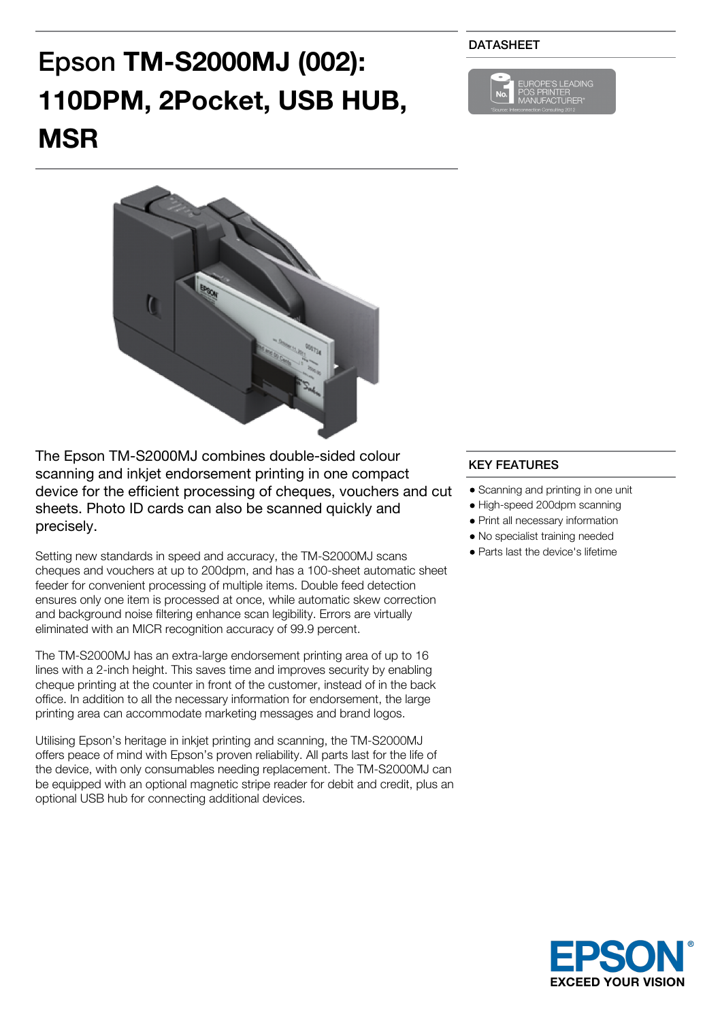# Epson **TM-S2000MJ (002): 110DPM, 2Pocket, USB HUB, MSR**



The Epson TM-S2000MJ combines double-sided colour scanning and inkjet endorsement printing in one compact device for the efficient processing of cheques, vouchers and cut sheets. Photo ID cards can also be scanned quickly and precisely.

Setting new standards in speed and accuracy, the TM-S2000MJ scans cheques and vouchers at up to 200dpm, and has a 100-sheet automatic sheet feeder for convenient processing of multiple items. Double feed detection ensures only one item is processed at once, while automatic skew correction and background noise filtering enhance scan legibility. Errors are virtually eliminated with an MICR recognition accuracy of 99.9 percent.

The TM-S2000MJ has an extra-large endorsement printing area of up to 16 lines with a 2-inch height. This saves time and improves security by enabling cheque printing at the counter in front of the customer, instead of in the back office. In addition to all the necessary information for endorsement, the large printing area can accommodate marketing messages and brand logos.

Utilising Epson's heritage in inkjet printing and scanning, the TM-S2000MJ offers peace of mind with Epson's proven reliability. All parts last for the life of the device, with only consumables needing replacement. The TM-S2000MJ can be equipped with an optional magnetic stripe reader for debit and credit, plus an optional USB hub for connecting additional devices.

#### DATASHEET



#### KEY FEATURES

- Scanning and printing in one unit
- High-speed 200dpm scanning
- Print all necessary information
- No specialist training needed
- Parts last the device's lifetime